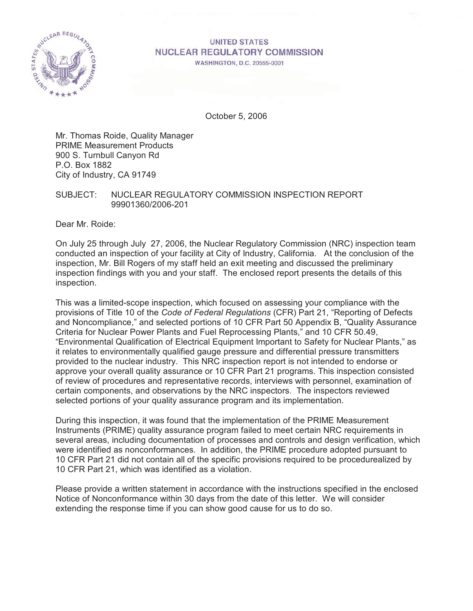

# **UNITED STATES NUCLEAR REGULATORY COMMISSION**

WASHINGTON, D.C. 20555-0001

October 5, 2006

Mr. Thomas Roide, Quality Manager PRIME Measurement Products 900 S. Turnbull Canyon Rd P.O. Box 1882 City of Industry, CA 91749

## SUBJECT: NUCLEAR REGULATORY COMMISSION INSPECTION REPORT 99901360/2006-201

Dear Mr. Roide:

On July 25 through July 27, 2006, the Nuclear Regulatory Commission (NRC) inspection team conducted an inspection of your facility at City of Industry, California. At the conclusion of the inspection, Mr. Bill Rogers of my staff held an exit meeting and discussed the preliminary inspection findings with you and your staff. The enclosed report presents the details of this inspection.

This was a limited-scope inspection, which focused on assessing your compliance with the provisions of Title 10 of the *Code of Federal Regulations* (CFR) Part 21, "Reporting of Defects and Noncompliance," and selected portions of 10 CFR Part 50 Appendix B, "Quality Assurance Criteria for Nuclear Power Plants and Fuel Reprocessing Plants," and 10 CFR 50.49, "Environmental Qualification of Electrical Equipment Important to Safety for Nuclear Plants," as it relates to environmentally qualified gauge pressure and differential pressure transmitters provided to the nuclear industry. This NRC inspection report is not intended to endorse or approve your overall quality assurance or 10 CFR Part 21 programs. This inspection consisted of review of procedures and representative records, interviews with personnel, examination of certain components, and observations by the NRC inspectors. The inspectors reviewed selected portions of your quality assurance program and its implementation.

During this inspection, it was found that the implementation of the PRIME Measurement Instruments (PRIME) quality assurance program failed to meet certain NRC requirements in several areas, including documentation of processes and controls and design verification, which were identified as nonconformances. In addition, the PRIME procedure adopted pursuant to 10 CFR Part 21 did not contain all of the specific provisions required to be procedurealized by 10 CFR Part 21, which was identified as a violation.

Please provide a written statement in accordance with the instructions specified in the enclosed Notice of Nonconformance within 30 days from the date of this letter. We will consider extending the response time if you can show good cause for us to do so.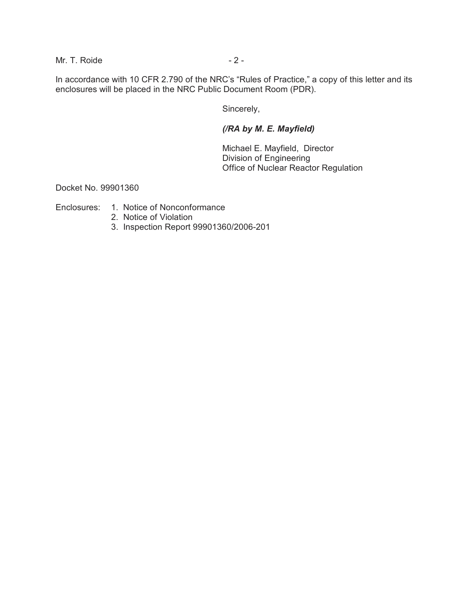Mr. T. Roide  $-2 -$ 

In accordance with 10 CFR 2.790 of the NRC's "Rules of Practice," a copy of this letter and its enclosures will be placed in the NRC Public Document Room (PDR).

Sincerely,

## *(/RA by M. E. Mayfield)*

Michael E. Mayfield, Director Division of Engineering Office of Nuclear Reactor Regulation

Docket No. 99901360

Enclosures: 1. Notice of Nonconformance

- 2. Notice of Violation
- 3. Inspection Report 99901360/2006-201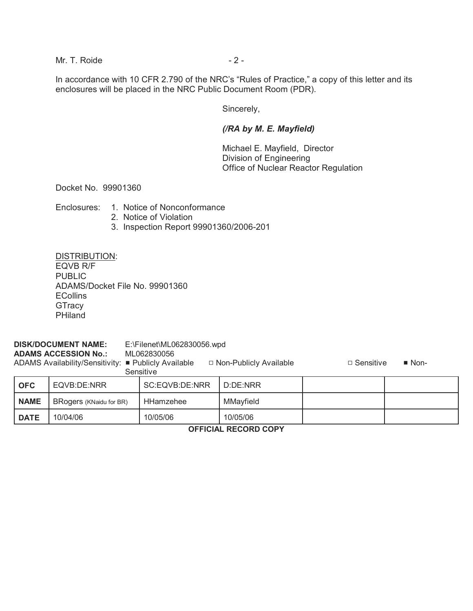Mr. T. Roide  $-2 -$ 

In accordance with 10 CFR 2.790 of the NRC's "Rules of Practice," a copy of this letter and its enclosures will be placed in the NRC Public Document Room (PDR).

Sincerely,

## *(/RA by M. E. Mayfield)*

Michael E. Mayfield, Director Division of Engineering Office of Nuclear Reactor Regulation

Docket No. 99901360

Enclosures: 1. Notice of Nonconformance

- 2. Notice of Violation
- 3. Inspection Report 99901360/2006-201

DISTRIBUTION: EQVB R/F PUBLIC ADAMS/Docket File No. 99901360 ECollins

#### **DISK/DOCUMENT NAME:** E:\Filenet\ML062830056.wpd

**ADAMS ACCESSION No.:** ML062830056

**GTracy** PHiland

ADAMS Availability/Sensitivity: **■** Publicly Available 9 Don-Publicly Available 9 Don-Bublicly Available 9 Don-

Sensitive

**OFC** EQVB:DE:NRR SC:EQVB:DE:NRR D:DE:NRR **NAME** | BRogers (KNaidu for BR) | HHamzehee | MMayfield **DATE** 10/04/06 10/05/06 10/05/06

**OFFICIAL RECORD COPY**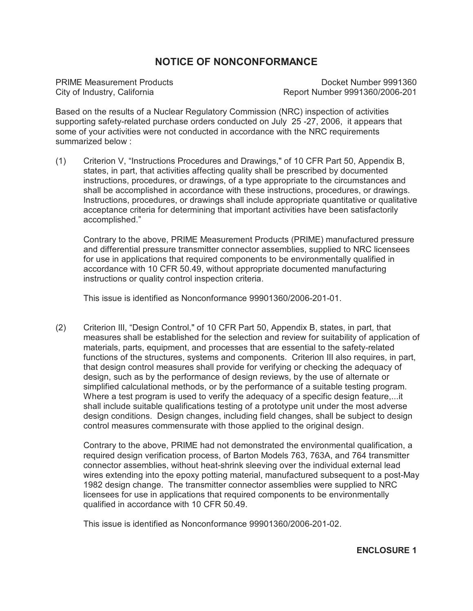# **NOTICE OF NONCONFORMANCE**

PRIME Measurement Products **Docket Number 9991360** City of Industry, California Report Number 9991360/2006-201

Based on the results of a Nuclear Regulatory Commission (NRC) inspection of activities supporting safety-related purchase orders conducted on July 25 -27, 2006, it appears that some of your activities were not conducted in accordance with the NRC requirements summarized below :

(1) Criterion V, "Instructions Procedures and Drawings," of 10 CFR Part 50, Appendix B, states, in part, that activities affecting quality shall be prescribed by documented instructions, procedures, or drawings, of a type appropriate to the circumstances and shall be accomplished in accordance with these instructions, procedures, or drawings. Instructions, procedures, or drawings shall include appropriate quantitative or qualitative acceptance criteria for determining that important activities have been satisfactorily accomplished."

Contrary to the above, PRIME Measurement Products (PRIME) manufactured pressure and differential pressure transmitter connector assemblies, supplied to NRC licensees for use in applications that required components to be environmentally qualified in accordance with 10 CFR 50.49, without appropriate documented manufacturing instructions or quality control inspection criteria.

This issue is identified as Nonconformance 99901360/2006-201-01.

(2) Criterion III, "Design Control," of 10 CFR Part 50, Appendix B, states, in part, that measures shall be established for the selection and review for suitability of application of materials, parts, equipment, and processes that are essential to the safety-related functions of the structures, systems and components. Criterion III also requires, in part, that design control measures shall provide for verifying or checking the adequacy of design, such as by the performance of design reviews, by the use of alternate or simplified calculational methods, or by the performance of a suitable testing program. Where a test program is used to verify the adequacy of a specific design feature,...it shall include suitable qualifications testing of a prototype unit under the most adverse design conditions. Design changes, including field changes, shall be subject to design control measures commensurate with those applied to the original design.

Contrary to the above, PRIME had not demonstrated the environmental qualification, a required design verification process, of Barton Models 763, 763A, and 764 transmitter connector assemblies, without heat-shrink sleeving over the individual external lead wires extending into the epoxy potting material, manufactured subsequent to a post-May 1982 design change. The transmitter connector assemblies were supplied to NRC licensees for use in applications that required components to be environmentally qualified in accordance with 10 CFR 50.49.

This issue is identified as Nonconformance 99901360/2006-201-02.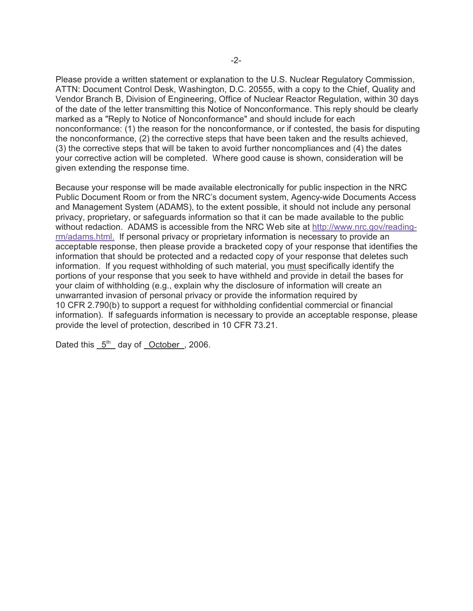Please provide a written statement or explanation to the U.S. Nuclear Regulatory Commission, ATTN: Document Control Desk, Washington, D.C. 20555, with a copy to the Chief, Quality and Vendor Branch B, Division of Engineering, Office of Nuclear Reactor Regulation, within 30 days of the date of the letter transmitting this Notice of Nonconformance. This reply should be clearly marked as a "Reply to Notice of Nonconformance" and should include for each nonconformance: (1) the reason for the nonconformance, or if contested, the basis for disputing the nonconformance, (2) the corrective steps that have been taken and the results achieved, (3) the corrective steps that will be taken to avoid further noncompliances and (4) the dates your corrective action will be completed. Where good cause is shown, consideration will be given extending the response time.

Because your response will be made available electronically for public inspection in the NRC Public Document Room or from the NRC's document system, Agency-wide Documents Access and Management System (ADAMS), to the extent possible, it should not include any personal privacy, proprietary, or safeguards information so that it can be made available to the public without redaction. ADAMS is accessible from the NRC Web site at http://www.nrc.gov/readingrm/adams.html. If personal privacy or proprietary information is necessary to provide an acceptable response, then please provide a bracketed copy of your response that identifies the information that should be protected and a redacted copy of your response that deletes such information. If you request withholding of such material, you must specifically identify the portions of your response that you seek to have withheld and provide in detail the bases for your claim of withholding (e.g., explain why the disclosure of information will create an unwarranted invasion of personal privacy or provide the information required by 10 CFR 2.790(b) to support a request for withholding confidential commercial or financial information). If safeguards information is necessary to provide an acceptable response, please provide the level of protection, described in 10 CFR 73.21.

Dated this  $5<sup>th</sup>$  day of October, 2006.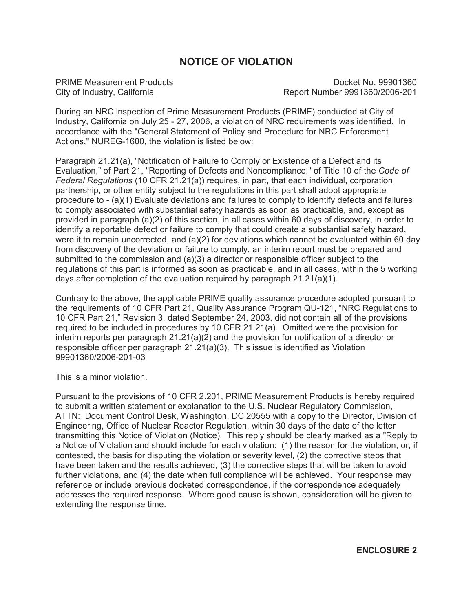# **NOTICE OF VIOLATION**

PRIME Measurement Products **Docket No. 99901360** City of Industry, California Report Number 9991360/2006-201

During an NRC inspection of Prime Measurement Products (PRIME) conducted at City of Industry, California on July 25 - 27, 2006, a violation of NRC requirements was identified. In accordance with the "General Statement of Policy and Procedure for NRC Enforcement Actions," NUREG-1600, the violation is listed below:

Paragraph 21.21(a), "Notification of Failure to Comply or Existence of a Defect and its Evaluation," of Part 21, "Reporting of Defects and Noncompliance," of Title 10 of the *Code of Federal Regulations* (10 CFR 21.21(a)) requires, in part, that each individual, corporation partnership, or other entity subject to the regulations in this part shall adopt appropriate procedure to - (a)(1) Evaluate deviations and failures to comply to identify defects and failures to comply associated with substantial safety hazards as soon as practicable, and, except as provided in paragraph (a)(2) of this section, in all cases within 60 days of discovery, in order to identify a reportable defect or failure to comply that could create a substantial safety hazard, were it to remain uncorrected, and  $(a)(2)$  for deviations which cannot be evaluated within 60 day from discovery of the deviation or failure to comply, an interim report must be prepared and submitted to the commission and (a)(3) a director or responsible officer subject to the regulations of this part is informed as soon as practicable, and in all cases, within the 5 working days after completion of the evaluation required by paragraph 21.21(a)(1).

Contrary to the above, the applicable PRIME quality assurance procedure adopted pursuant to the requirements of 10 CFR Part 21, Quality Assurance Program QU-121, "NRC Regulations to 10 CFR Part 21," Revision 3, dated September 24, 2003, did not contain all of the provisions required to be included in procedures by 10 CFR 21.21(a). Omitted were the provision for interim reports per paragraph 21.21(a)(2) and the provision for notification of a director or responsible officer per paragraph 21.21(a)(3). This issue is identified as Violation 99901360/2006-201-03

This is a minor violation.

Pursuant to the provisions of 10 CFR 2.201, PRIME Measurement Products is hereby required to submit a written statement or explanation to the U.S. Nuclear Regulatory Commission, ATTN: Document Control Desk, Washington, DC 20555 with a copy to the Director, Division of Engineering, Office of Nuclear Reactor Regulation, within 30 days of the date of the letter transmitting this Notice of Violation (Notice). This reply should be clearly marked as a "Reply to a Notice of Violation and should include for each violation: (1) the reason for the violation, or, if contested, the basis for disputing the violation or severity level, (2) the corrective steps that have been taken and the results achieved, (3) the corrective steps that will be taken to avoid further violations, and (4) the date when full compliance will be achieved. Your response may reference or include previous docketed correspondence, if the correspondence adequately addresses the required response. Where good cause is shown, consideration will be given to extending the response time.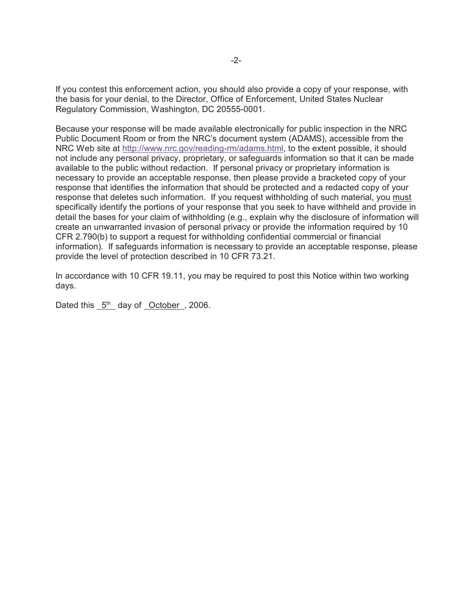If you contest this enforcement action, you should also provide a copy of your response, with the basis for your denial, to the Director, Office of Enforcement, United States Nuclear Regulatory Commission, Washington, DC 20555-0001.

Because your response will be made available electronically for public inspection in the NRC Public Document Room or from the NRC's document system (ADAMS), accessible from the NRC Web site at http://www.nrc.gov/reading-rm/adams.html, to the extent possible, it should not include any personal privacy, proprietary, or safeguards information so that it can be made available to the public without redaction. If personal privacy or proprietary information is necessary to provide an acceptable response, then please provide a bracketed copy of your response that identifies the information that should be protected and a redacted copy of your response that deletes such information. If you request withholding of such material, you must specifically identify the portions of your response that you seek to have withheld and provide in detail the bases for your claim of withholding (e.g., explain why the disclosure of information will create an unwarranted invasion of personal privacy or provide the information required by 10 CFR 2.790(b) to support a request for withholding confidential commercial or financial information). If safeguards information is necessary to provide an acceptable response, please provide the level of protection described in 10 CFR 73.21.

In accordance with 10 CFR 19.11, you may be required to post this Notice within two working days.

Dated this  $5<sup>th</sup>$  day of October, 2006.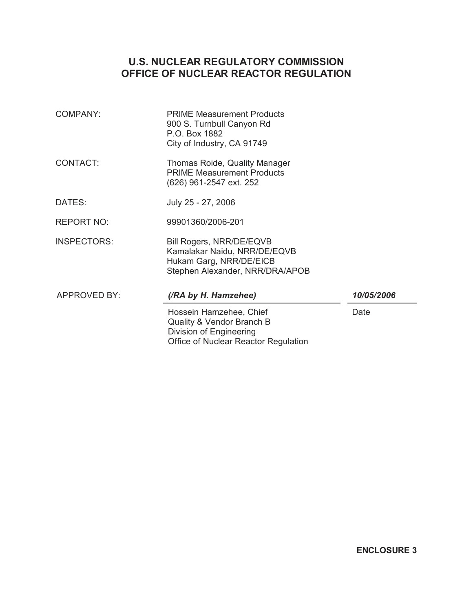# **U.S. NUCLEAR REGULATORY COMMISSION OFFICE OF NUCLEAR REACTOR REGULATION**

| <b>COMPANY:</b>     | <b>PRIME Measurement Products</b><br>900 S. Turnbull Canyon Rd<br>P.O. Box 1882<br>City of Industry, CA 91749                      |            |
|---------------------|------------------------------------------------------------------------------------------------------------------------------------|------------|
| <b>CONTACT:</b>     | Thomas Roide, Quality Manager<br><b>PRIME Measurement Products</b><br>(626) 961-2547 ext. 252                                      |            |
| DATES:              | July 25 - 27, 2006                                                                                                                 |            |
| <b>REPORT NO:</b>   | 99901360/2006-201                                                                                                                  |            |
| <b>INSPECTORS:</b>  | Bill Rogers, NRR/DE/EQVB<br>Kamalakar Naidu, NRR/DE/EQVB<br>Hukam Garg, NRR/DE/EICB<br>Stephen Alexander, NRR/DRA/APOB             |            |
| <b>APPROVED BY:</b> | (/RA by H. Hamzehee)                                                                                                               | 10/05/2006 |
|                     | Hossein Hamzehee, Chief<br><b>Quality &amp; Vendor Branch B</b><br>Division of Engineering<br>Office of Nuclear Reactor Regulation | Date       |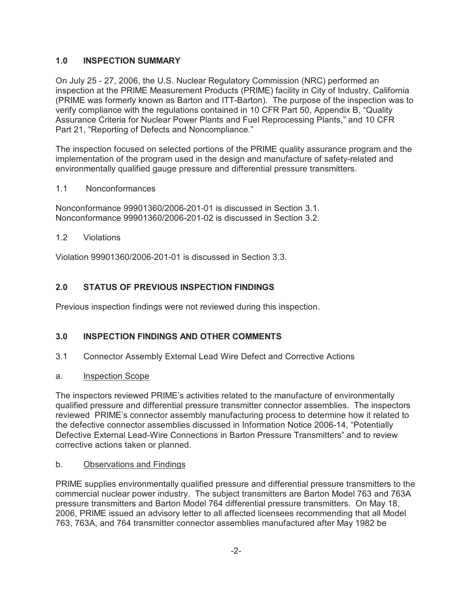## **1.0 INSPECTION SUMMARY**

On July 25 - 27, 2006, the U.S. Nuclear Regulatory Commission (NRC) performed an inspection at the PRIME Measurement Products (PRIME) facility in City of Industry, California (PRIME was formerly known as Barton and ITT-Barton). The purpose of the inspection was to verify compliance with the regulations contained in 10 CFR Part 50, Appendix B, "Quality Assurance Criteria for Nuclear Power Plants and Fuel Reprocessing Plants," and 10 CFR Part 21, "Reporting of Defects and Noncompliance."

The inspection focused on selected portions of the PRIME quality assurance program and the implementation of the program used in the design and manufacture of safety-related and environmentally qualified gauge pressure and differential pressure transmitters.

## 1.1 Nonconformances

Nonconformance 99901360/2006-201-01 is discussed in Section 3.1. Nonconformance 99901360/2006-201-02 is discussed in Section 3.2.

## 1.2 Violations

Violation 99901360/2006-201-01 is discussed in Section 3.3.

## **2.0 STATUS OF PREVIOUS INSPECTION FINDINGS**

Previous inspection findings were not reviewed during this inspection.

## **3.0 INSPECTION FINDINGS AND OTHER COMMENTS**

- 3.1 Connector Assembly External Lead Wire Defect and Corrective Actions
- a. Inspection Scope

The inspectors reviewed PRIME's activities related to the manufacture of environmentally qualified pressure and differential pressure transmitter connector assemblies. The inspectors reviewed PRIME's connector assembly manufacturing process to determine how it related to the defective connector assemblies discussed in Information Notice 2006-14, "Potentially Defective External Lead-Wire Connections in Barton Pressure Transmitters" and to review corrective actions taken or planned.

## b. Observations and Findings

PRIME supplies environmentally qualified pressure and differential pressure transmitters to the commercial nuclear power industry. The subject transmitters are Barton Model 763 and 763A pressure transmitters and Barton Model 764 differential pressure transmitters. On May 18, 2006, PRIME issued an advisory letter to all affected licensees recommending that all Model 763, 763A, and 764 transmitter connector assemblies manufactured after May 1982 be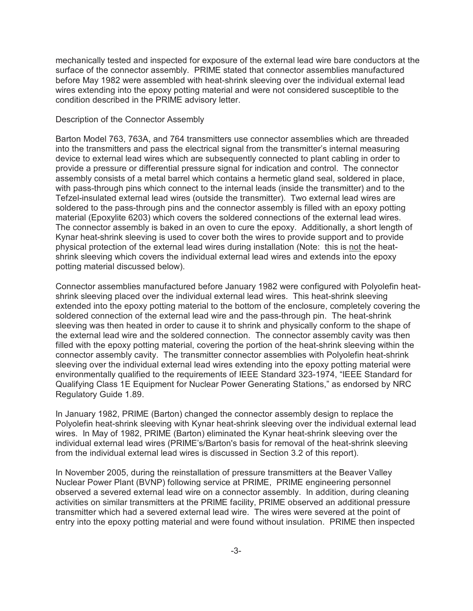mechanically tested and inspected for exposure of the external lead wire bare conductors at the surface of the connector assembly. PRIME stated that connector assemblies manufactured before May 1982 were assembled with heat-shrink sleeving over the individual external lead wires extending into the epoxy potting material and were not considered susceptible to the condition described in the PRIME advisory letter.

#### Description of the Connector Assembly

Barton Model 763, 763A, and 764 transmitters use connector assemblies which are threaded into the transmitters and pass the electrical signal from the transmitter's internal measuring device to external lead wires which are subsequently connected to plant cabling in order to provide a pressure or differential pressure signal for indication and control. The connector assembly consists of a metal barrel which contains a hermetic gland seal, soldered in place, with pass-through pins which connect to the internal leads (inside the transmitter) and to the Tefzel-insulated external lead wires (outside the transmitter). Two external lead wires are soldered to the pass-through pins and the connector assembly is filled with an epoxy potting material (Epoxylite 6203) which covers the soldered connections of the external lead wires. The connector assembly is baked in an oven to cure the epoxy. Additionally, a short length of Kynar heat-shrink sleeving is used to cover both the wires to provide support and to provide physical protection of the external lead wires during installation (Note: this is not the heatshrink sleeving which covers the individual external lead wires and extends into the epoxy potting material discussed below).

Connector assemblies manufactured before January 1982 were configured with Polyolefin heatshrink sleeving placed over the individual external lead wires. This heat-shrink sleeving extended into the epoxy potting material to the bottom of the enclosure, completely covering the soldered connection of the external lead wire and the pass-through pin. The heat-shrink sleeving was then heated in order to cause it to shrink and physically conform to the shape of the external lead wire and the soldered connection. The connector assembly cavity was then filled with the epoxy potting material, covering the portion of the heat-shrink sleeving within the connector assembly cavity. The transmitter connector assemblies with Polyolefin heat-shrink sleeving over the individual external lead wires extending into the epoxy potting material were environmentally qualified to the requirements of IEEE Standard 323-1974, "IEEE Standard for Qualifying Class 1E Equipment for Nuclear Power Generating Stations," as endorsed by NRC Regulatory Guide 1.89.

In January 1982, PRIME (Barton) changed the connector assembly design to replace the Polyolefin heat-shrink sleeving with Kynar heat-shrink sleeving over the individual external lead wires. In May of 1982, PRIME (Barton) eliminated the Kynar heat-shrink sleeving over the individual external lead wires (PRIME's/Barton's basis for removal of the heat-shrink sleeving from the individual external lead wires is discussed in Section 3.2 of this report).

In November 2005, during the reinstallation of pressure transmitters at the Beaver Valley Nuclear Power Plant (BVNP) following service at PRIME, PRIME engineering personnel observed a severed external lead wire on a connector assembly. In addition, during cleaning activities on similar transmitters at the PRIME facility, PRIME observed an additional pressure transmitter which had a severed external lead wire. The wires were severed at the point of entry into the epoxy potting material and were found without insulation. PRIME then inspected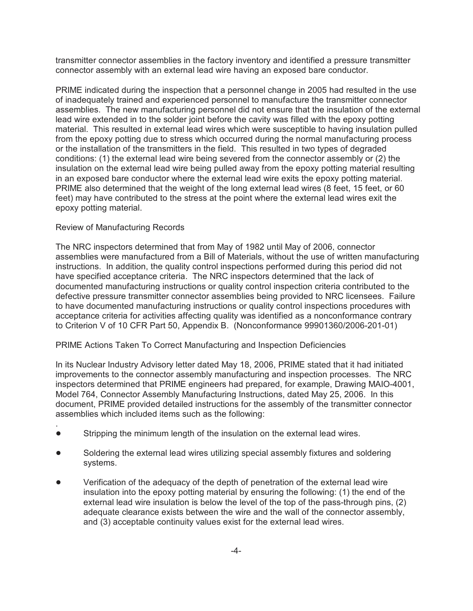transmitter connector assemblies in the factory inventory and identified a pressure transmitter connector assembly with an external lead wire having an exposed bare conductor.

PRIME indicated during the inspection that a personnel change in 2005 had resulted in the use of inadequately trained and experienced personnel to manufacture the transmitter connector assemblies. The new manufacturing personnel did not ensure that the insulation of the external lead wire extended in to the solder joint before the cavity was filled with the epoxy potting material. This resulted in external lead wires which were susceptible to having insulation pulled from the epoxy potting due to stress which occurred during the normal manufacturing process or the installation of the transmitters in the field. This resulted in two types of degraded conditions: (1) the external lead wire being severed from the connector assembly or (2) the insulation on the external lead wire being pulled away from the epoxy potting material resulting in an exposed bare conductor where the external lead wire exits the epoxy potting material. PRIME also determined that the weight of the long external lead wires (8 feet, 15 feet, or 60 feet) may have contributed to the stress at the point where the external lead wires exit the epoxy potting material.

### Review of Manufacturing Records

The NRC inspectors determined that from May of 1982 until May of 2006, connector assemblies were manufactured from a Bill of Materials, without the use of written manufacturing instructions. In addition, the quality control inspections performed during this period did not have specified acceptance criteria. The NRC inspectors determined that the lack of documented manufacturing instructions or quality control inspection criteria contributed to the defective pressure transmitter connector assemblies being provided to NRC licensees. Failure to have documented manufacturing instructions or quality control inspections procedures with acceptance criteria for activities affecting quality was identified as a nonconformance contrary to Criterion V of 10 CFR Part 50, Appendix B. (Nonconformance 99901360/2006-201-01)

#### PRIME Actions Taken To Correct Manufacturing and Inspection Deficiencies

In its Nuclear Industry Advisory letter dated May 18, 2006, PRIME stated that it had initiated improvements to the connector assembly manufacturing and inspection processes. The NRC inspectors determined that PRIME engineers had prepared, for example, Drawing MAIO-4001, Model 764, Connector Assembly Manufacturing Instructions, dated May 25, 2006. In this document, PRIME provided detailed instructions for the assembly of the transmitter connector assemblies which included items such as the following:

- . Stripping the minimum length of the insulation on the external lead wires.
- Soldering the external lead wires utilizing special assembly fixtures and soldering systems.
- ! Verification of the adequacy of the depth of penetration of the external lead wire insulation into the epoxy potting material by ensuring the following: (1) the end of the external lead wire insulation is below the level of the top of the pass-through pins, (2) adequate clearance exists between the wire and the wall of the connector assembly, and (3) acceptable continuity values exist for the external lead wires.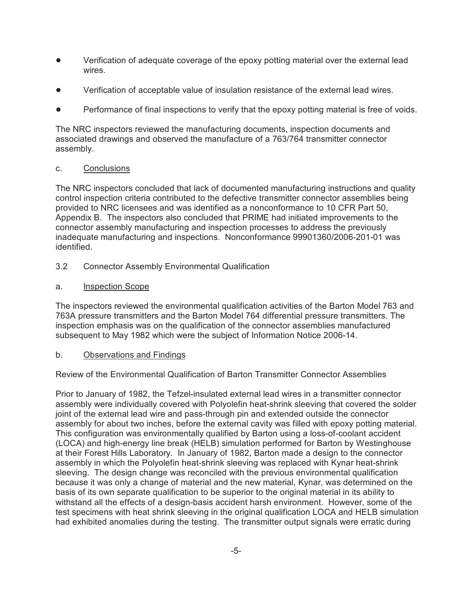- ! Verification of adequate coverage of the epoxy potting material over the external lead wires.
- ! Verification of acceptable value of insulation resistance of the external lead wires.
- Performance of final inspections to verify that the epoxy potting material is free of voids.

The NRC inspectors reviewed the manufacturing documents, inspection documents and associated drawings and observed the manufacture of a 763/764 transmitter connector assembly.

## c. Conclusions

The NRC inspectors concluded that lack of documented manufacturing instructions and quality control inspection criteria contributed to the defective transmitter connector assemblies being provided to NRC licensees and was identified as a nonconformance to 10 CFR Part 50, Appendix B. The inspectors also concluded that PRIME had initiated improvements to the connector assembly manufacturing and inspection processes to address the previously inadequate manufacturing and inspections. Nonconformance 99901360/2006-201-01 was identified.

- 3.2 Connector Assembly Environmental Qualification
- a. Inspection Scope

The inspectors reviewed the environmental qualification activities of the Barton Model 763 and 763A pressure transmitters and the Barton Model 764 differential pressure transmitters. The inspection emphasis was on the qualification of the connector assemblies manufactured subsequent to May 1982 which were the subject of Information Notice 2006-14.

## b. Observations and Findings

Review of the Environmental Qualification of Barton Transmitter Connector Assemblies

Prior to January of 1982, the Tefzel-insulated external lead wires in a transmitter connector assembly were individually covered with Polyolefin heat-shrink sleeving that covered the solder joint of the external lead wire and pass-through pin and extended outside the connector assembly for about two inches, before the external cavity was filled with epoxy potting material. This configuration was environmentally qualified by Barton using a loss-of-coolant accident (LOCA) and high-energy line break (HELB) simulation performed for Barton by Westinghouse at their Forest Hills Laboratory. In January of 1982, Barton made a design to the connector assembly in which the Polyolefin heat-shrink sleeving was replaced with Kynar heat-shrink sleeving. The design change was reconciled with the previous environmental qualification because it was only a change of material and the new material, Kynar, was determined on the basis of its own separate qualification to be superior to the original material in its ability to withstand all the effects of a design-basis accident harsh environment. However, some of the test specimens with heat shrink sleeving in the original qualification LOCA and HELB simulation had exhibited anomalies during the testing. The transmitter output signals were erratic during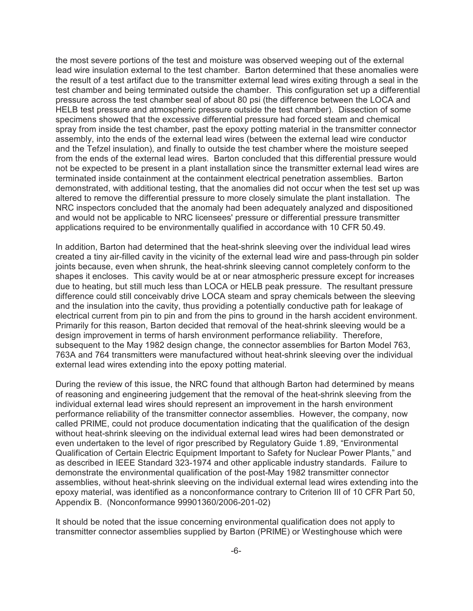the most severe portions of the test and moisture was observed weeping out of the external lead wire insulation external to the test chamber. Barton determined that these anomalies were the result of a test artifact due to the transmitter external lead wires exiting through a seal in the test chamber and being terminated outside the chamber. This configuration set up a differential pressure across the test chamber seal of about 80 psi (the difference between the LOCA and HELB test pressure and atmospheric pressure outside the test chamber). Dissection of some specimens showed that the excessive differential pressure had forced steam and chemical spray from inside the test chamber, past the epoxy potting material in the transmitter connector assembly, into the ends of the external lead wires (between the external lead wire conductor and the Tefzel insulation), and finally to outside the test chamber where the moisture seeped from the ends of the external lead wires. Barton concluded that this differential pressure would not be expected to be present in a plant installation since the transmitter external lead wires are terminated inside containment at the containment electrical penetration assemblies. Barton demonstrated, with additional testing, that the anomalies did not occur when the test set up was altered to remove the differential pressure to more closely simulate the plant installation. The NRC inspectors concluded that the anomaly had been adequately analyzed and dispositioned and would not be applicable to NRC licensees' pressure or differential pressure transmitter applications required to be environmentally qualified in accordance with 10 CFR 50.49.

In addition, Barton had determined that the heat-shrink sleeving over the individual lead wires created a tiny air-filled cavity in the vicinity of the external lead wire and pass-through pin solder joints because, even when shrunk, the heat-shrink sleeving cannot completely conform to the shapes it encloses. This cavity would be at or near atmospheric pressure except for increases due to heating, but still much less than LOCA or HELB peak pressure. The resultant pressure difference could still conceivably drive LOCA steam and spray chemicals between the sleeving and the insulation into the cavity, thus providing a potentially conductive path for leakage of electrical current from pin to pin and from the pins to ground in the harsh accident environment. Primarily for this reason, Barton decided that removal of the heat-shrink sleeving would be a design improvement in terms of harsh environment performance reliability. Therefore, subsequent to the May 1982 design change, the connector assemblies for Barton Model 763, 763A and 764 transmitters were manufactured without heat-shrink sleeving over the individual external lead wires extending into the epoxy potting material.

During the review of this issue, the NRC found that although Barton had determined by means of reasoning and engineering judgement that the removal of the heat-shrink sleeving from the individual external lead wires should represent an improvement in the harsh environment performance reliability of the transmitter connector assemblies. However, the company, now called PRIME, could not produce documentation indicating that the qualification of the design without heat-shrink sleeving on the individual external lead wires had been demonstrated or even undertaken to the level of rigor prescribed by Regulatory Guide 1.89, "Environmental Qualification of Certain Electric Equipment Important to Safety for Nuclear Power Plants," and as described in IEEE Standard 323-1974 and other applicable industry standards. Failure to demonstrate the environmental qualification of the post-May 1982 transmitter connector assemblies, without heat-shrink sleeving on the individual external lead wires extending into the epoxy material, was identified as a nonconformance contrary to Criterion III of 10 CFR Part 50, Appendix B. (Nonconformance 99901360/2006-201-02)

It should be noted that the issue concerning environmental qualification does not apply to transmitter connector assemblies supplied by Barton (PRIME) or Westinghouse which were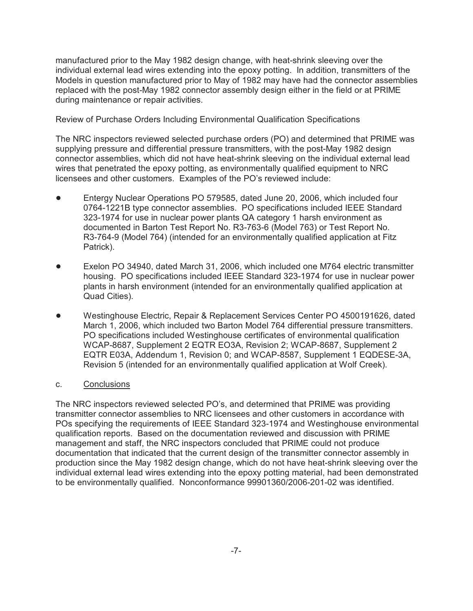manufactured prior to the May 1982 design change, with heat-shrink sleeving over the individual external lead wires extending into the epoxy potting. In addition, transmitters of the Models in question manufactured prior to May of 1982 may have had the connector assemblies replaced with the post-May 1982 connector assembly design either in the field or at PRIME during maintenance or repair activities.

Review of Purchase Orders Including Environmental Qualification Specifications

The NRC inspectors reviewed selected purchase orders (PO) and determined that PRIME was supplying pressure and differential pressure transmitters, with the post-May 1982 design connector assemblies, which did not have heat-shrink sleeving on the individual external lead wires that penetrated the epoxy potting, as environmentally qualified equipment to NRC licensees and other customers. Examples of the PO's reviewed include:

- ! Entergy Nuclear Operations PO 579585, dated June 20, 2006, which included four 0764-1221B type connector assemblies. PO specifications included IEEE Standard 323-1974 for use in nuclear power plants QA category 1 harsh environment as documented in Barton Test Report No. R3-763-6 (Model 763) or Test Report No. R3-764-9 (Model 764) (intended for an environmentally qualified application at Fitz Patrick).
- Exelon PO 34940, dated March 31, 2006, which included one M764 electric transmitter housing. PO specifications included IEEE Standard 323-1974 for use in nuclear power plants in harsh environment (intended for an environmentally qualified application at Quad Cities).
- ! Westinghouse Electric, Repair & Replacement Services Center PO 4500191626, dated March 1, 2006, which included two Barton Model 764 differential pressure transmitters. PO specifications included Westinghouse certificates of environmental qualification WCAP-8687, Supplement 2 EQTR EO3A, Revision 2; WCAP-8687, Supplement 2 EQTR E03A, Addendum 1, Revision 0; and WCAP-8587, Supplement 1 EQDESE-3A, Revision 5 (intended for an environmentally qualified application at Wolf Creek).

## c. Conclusions

The NRC inspectors reviewed selected PO's, and determined that PRIME was providing transmitter connector assemblies to NRC licensees and other customers in accordance with POs specifying the requirements of IEEE Standard 323-1974 and Westinghouse environmental qualification reports. Based on the documentation reviewed and discussion with PRIME management and staff, the NRC inspectors concluded that PRIME could not produce documentation that indicated that the current design of the transmitter connector assembly in production since the May 1982 design change, which do not have heat-shrink sleeving over the individual external lead wires extending into the epoxy potting material, had been demonstrated to be environmentally qualified. Nonconformance 99901360/2006-201-02 was identified.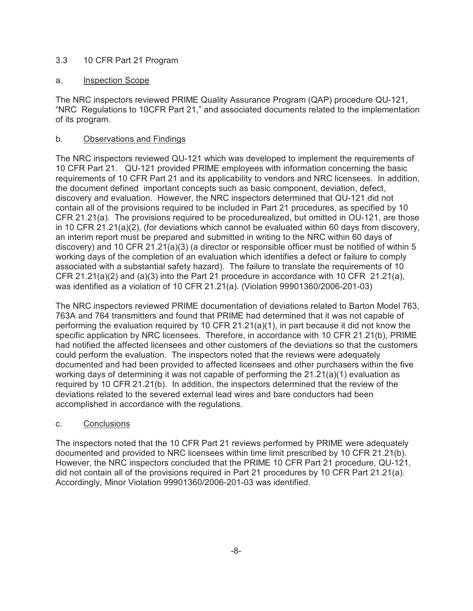## 3.3 10 CFR Part 21 Program

## a. Inspection Scope

The NRC inspectors reviewed PRIME Quality Assurance Program (QAP) procedure QU-121, "NRC Regulations to 10CFR Part 21," and associated documents related to the implementation of its program.

## b. Observations and Findings

The NRC inspectors reviewed QU-121 which was developed to implement the requirements of 10 CFR Part 21. QU-121 provided PRIME employees with information concerning the basic requirements of 10 CFR Part 21 and its applicability to vendors and NRC licensees. In addition, the document defined important concepts such as basic component, deviation, defect, discovery and evaluation. However, the NRC inspectors determined that QU-121 did not contain all of the provisions required to be included in Part 21 procedures, as specified by 10 CFR 21.21(a). The provisions required to be procedurealized, but omitted in OU-121, are those in 10 CFR 21.21(a)(2), (for deviations which cannot be evaluated within 60 days from discovery, an interim report must be prepared and submitted in writing to the NRC within 60 days of discovery) and 10 CFR 21.21(a)(3) (a director or responsible officer must be notified of within 5 working days of the completion of an evaluation which identifies a defect or failure to comply associated with a substantial safety hazard). The failure to translate the requirements of 10 CFR 21.21(a)(2) and (a)(3) into the Part 21 procedure in accordance with 10 CFR 21.21(a), was identified as a violation of 10 CFR 21.21(a). (Violation 99901360/2006-201-03)

The NRC inspectors reviewed PRIME documentation of deviations related to Barton Model 763, 763A and 764 transmitters and found that PRIME had determined that it was not capable of performing the evaluation required by 10 CFR 21.21(a)(1), in part because it did not know the specific application by NRC licensees. Therefore, in accordance with 10 CFR 21.21(b), PRIME had notified the affected licensees and other customers of the deviations so that the customers could perform the evaluation. The inspectors noted that the reviews were adequately documented and had been provided to affected licensees and other purchasers within the five working days of determining it was not capable of performing the 21.21(a)(1) evaluation as required by 10 CFR 21.21(b). In addition, the inspectors determined that the review of the deviations related to the severed external lead wires and bare conductors had been accomplished in accordance with the regulations.

## c. Conclusions

The inspectors noted that the 10 CFR Part 21 reviews performed by PRIME were adequately documented and provided to NRC licensees within time limit prescribed by 10 CFR 21.21(b). However, the NRC inspectors concluded that the PRIME 10 CFR Part 21 procedure, QU-121, did not contain all of the provisions required in Part 21 procedures by 10 CFR Part 21.21(a). Accordingly, Minor Violation 99901360/2006-201-03 was identified.